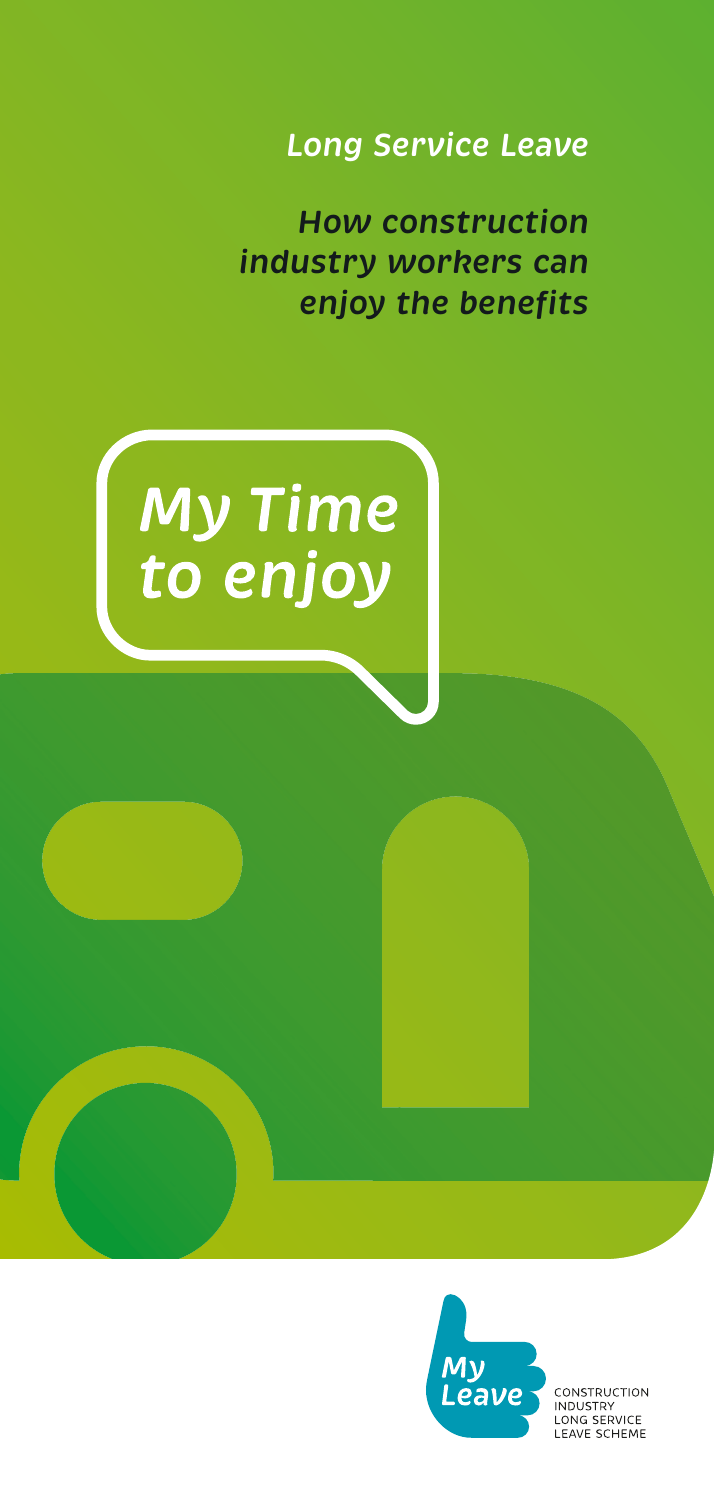*Long Service Leave*

*How construction industry workers can enjoy the benefits* 







CONSTRUCTION CONSTRUCTION<br>INDUSTRY<br>LONG SERVICE<br>LEAVE SCHEME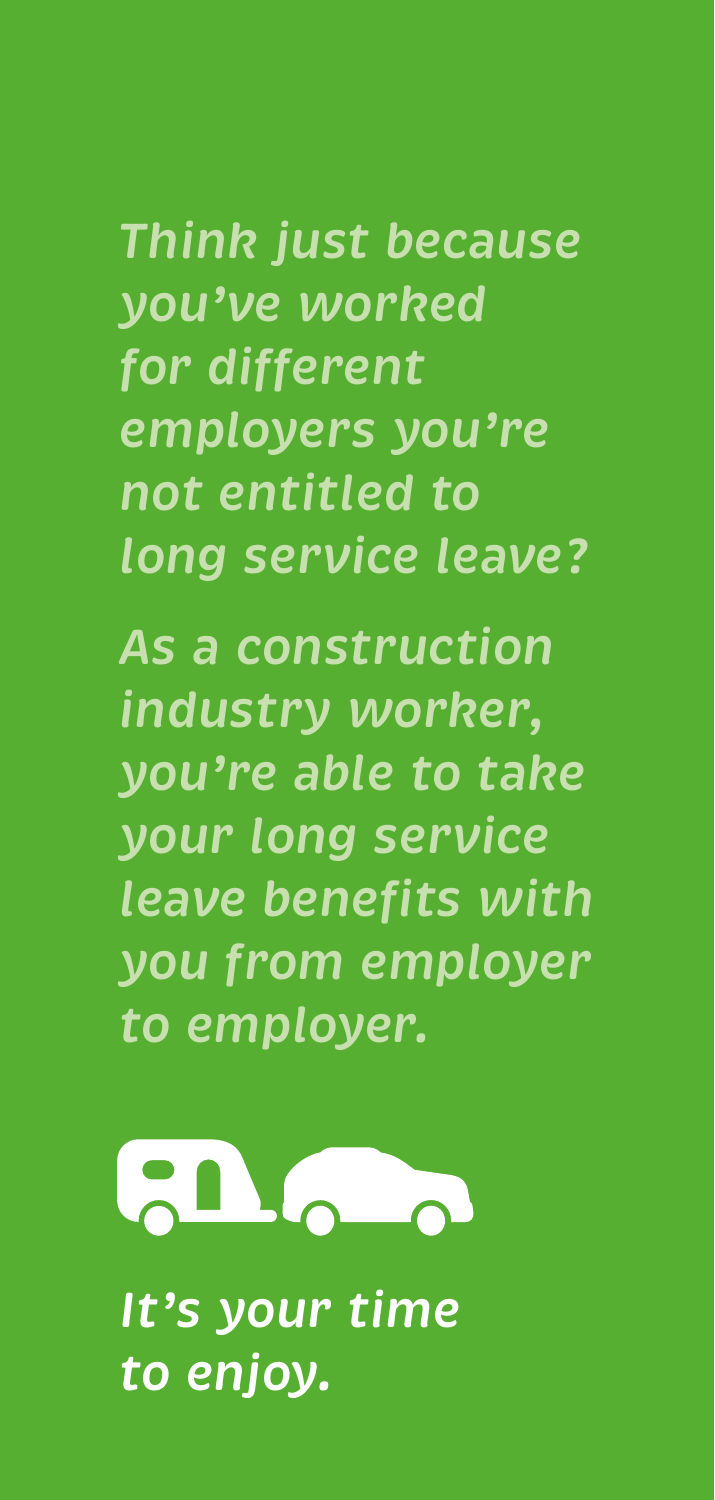*Think just because you've worked for different employers you're not entitled to long service leave?*

*As a construction industry worker, you're able to take your long service leave benefits with you from employer to employer.*



*It's your time to enjoy.*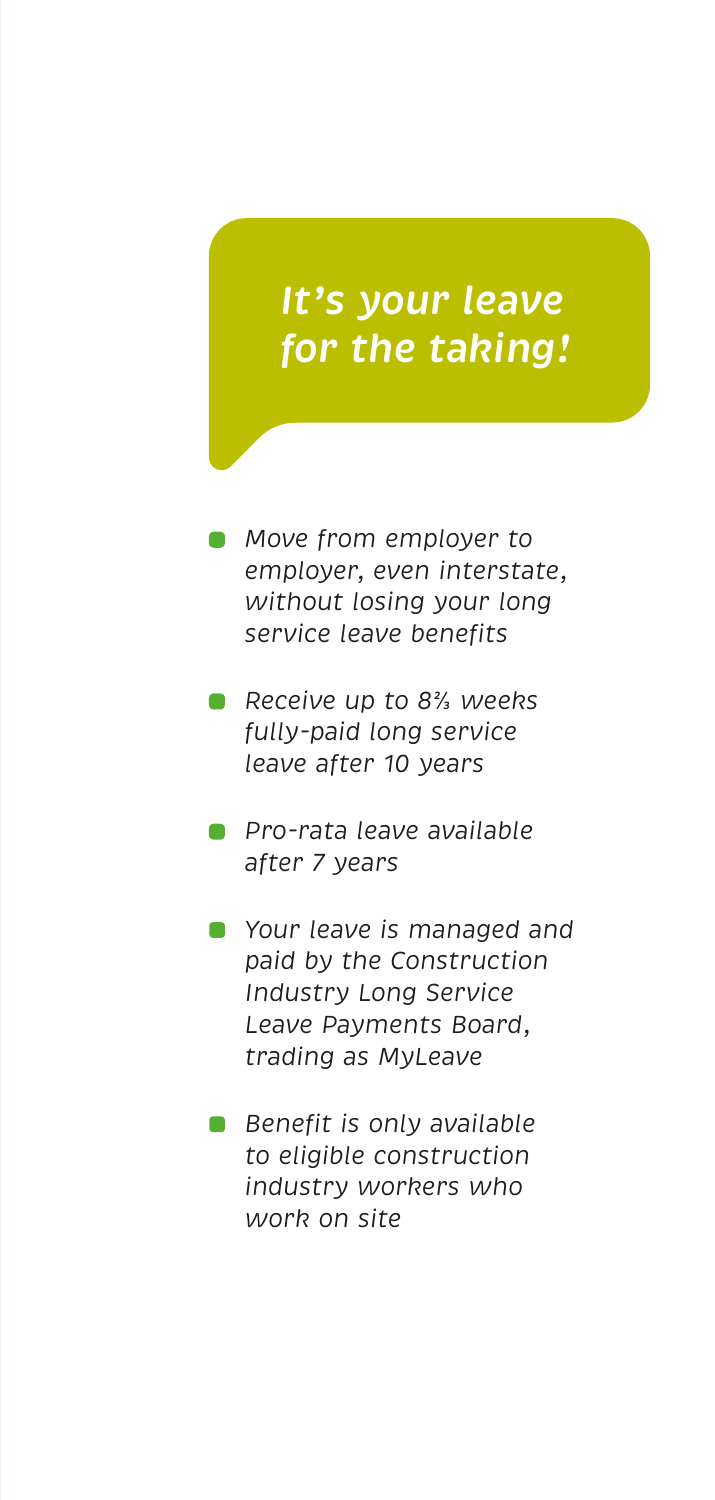# *It's your leave for the taking!*

- *Move from employer to employer, even interstate, without losing your long service leave benefits*
- *Receive up to 8⅔ weeks fully-paid long service leave after 10 years*
- *Pro-rata leave available after 7 years*
- *Your leave is managed and paid by the Construction Industry Long Service*  Leave Payments Board, *Your leave is managed and<br>paid by the Construction<br>Industry Long Service<br>Leave Payments Board, trading as MyLeave*
- *to eligible construction Benefit is only available industry workers who to eligible construction work on site industry workers who work on site*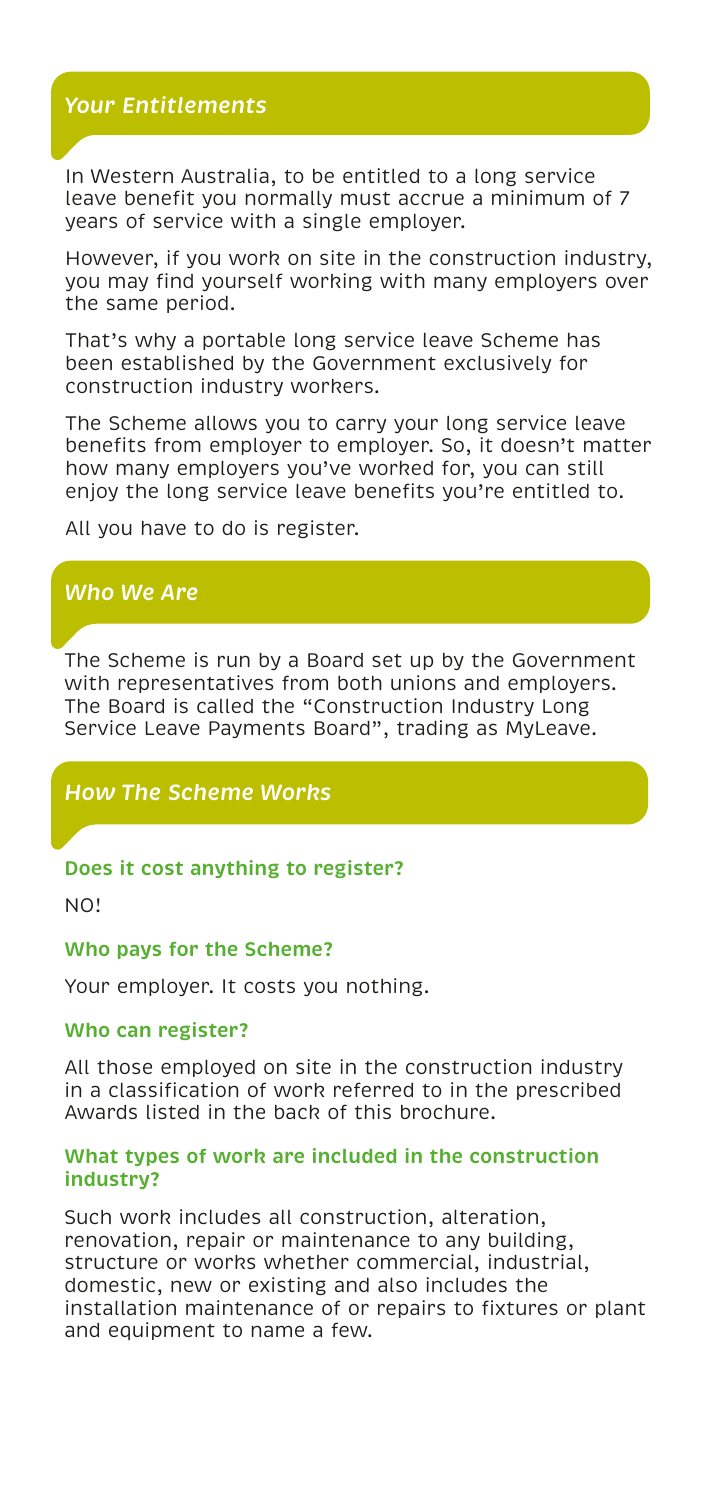# *Your Entitlements*

In Western Australia, to be entitled to a long service In Western Australia, to be entitled to a long service leave benefit you normally must accrue a minimum of 7 leave benefit you normally must accrue a minimum of 7 years of service with a single employer. years of service with a single employer.

However if you work on site in the construction industry, However, if you work on site in the construction industry, you may find yourself working with many employers over you may find yourself working with many employers over the same period. the same period.

That's why a portable long service leave Scheme That's why a portable long service leave Scheme has been established by the Government exclusively for<br>construction industry workers. construction industry workers.

The Scheme allows you to carry your long service leave The Scheme allows you to carry your long service leave benefits from employer to employer. So, it doesn't matter how many employers you've worked for, you can still enjoy the long service leave benefits you're entitled to. how many employers you've worked for, you can still enjoy the long service leave benefits you're entitled to.

All you have to do is register. All you have to do is register.

### *Who We Are*

The Scheme is run by a Board set up by the Government The Scheme is run by a Board set up by the Government<br>with representatives from both unions and employers. The Board is called the "Construction Industry Long The Board is called the "Construction Industry Long<br>Service Leave Payments Board", trading as MyLeave.

# *How The Scheme Works*

#### **Does it cost anything to register?**

NO!

#### **Who pays for the Scheme?**

Your employer. It costs you nothing.

#### **Who can register?**

All those employed on site in the construction industry All those employed on site in the construction industry in a classification of work referred to in the prescribed in a classification of work referred to in the prescribed Awards listed in the back of this brochure.

#### **What types of work are included in the construction industry?**

Such work includes all construction, alteration, Such work includes all construction, alteration, renovation, repair or maintenance to any building, renovation, repair or maintenance to any building, structure or works whether commercial, industrial structure or works whether commercial, industrial, domestic, new or existing and also includes the installation maintenance of or repairs to fixtures or installation maintenance of or repairs to fixtures or plant and equipment to name a few.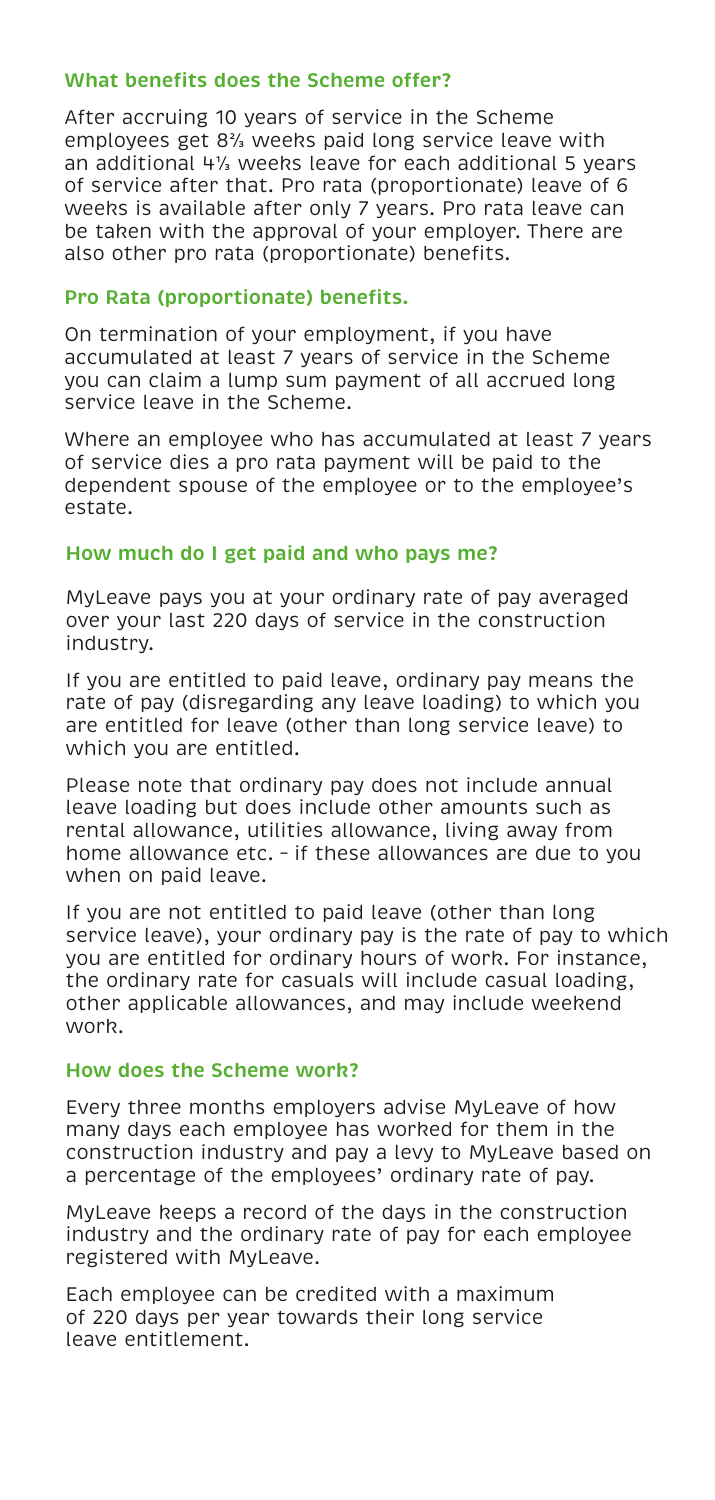#### **What benefits does the Scheme offer?**

After accruing 10 years of service in the Scheme employees get 8⅔ weeks paid long service leave with an additional 4⅓ weeks leave for each additional 5 years of service after that. Pro rata (proportionate) leave of 6 weeks is available after only 7 years. Pro rata leave can be taken with the approval of your employer. There are also other pro rata (proportionate) benefits.

#### **Pro Rata (proportionate) benefits.**

On termination of your employment, if you have accumulated at least 7 years of service in the Scheme you can claim a lump sum payment of all accrued long service leave in the Scheme. accumulated at least 7 years of service in the Scheme<br>you can claim a lump sum payment of all accrued long<br>service leave in the Scheme.<br>Where an employee who has accumulated at least 7 years

of service dies a pro rata payment will be paid to the dependent spouse of the employee or to the employee's estate.

#### **How Much Do I Get Paid and Who Pays Me? How much do I get paid and who pays me?**

MyLeave pays you at your ordinary rate of pay averaged MyLeave pays you at your ordinary rate of pay averaged over your last 220 days of service in the construction over your last 220 days of service in the construction industry.  $\mathcal{L}_{\mathcal{A}}$  is a paid leave loading leave loading leave loading leave loading leave loading leave loading leave loading leave loading leave loading leave loading leave loading leave loading leave loading leave loading

If you are entitled to paid leave, ordinary pay means the rate of pay (disregarding any leave loading) to which you are entitled for leave (other than long service leave) to which you are entitled.

**How does the Scheme work?** leave loading but does include other amounts such as rental allowance, utilities allowance, living away from home allowance etc. - if these allowances are due to you when on paid leave. When on paid leave based based of  $\mathcal{L}$ Please note that ordinary pay does not include annual

If you are not entitled to paid leave (other than long service leave), your ordinary pay is the rate of pay to which you are entitled for ordinary hours of work. For instance, the ordinary rate for casuals will include casual loading, other applicable allowances, and may include weekend<br>worb  $\overline{\phantom{a}}$ work.

# **How does the Scheme work?**

Every three months employers advise MyLeave of how **construction industry?** many days each employee has worked for them in the Euristi action maastry and pay a levy to my Leave bat a percentage of the employees' ordinary rate of pay. construction industry and pay a levy to MyLeave based on

MyLeave keeps a record of the days in the construction industry and the ordinary rate of pay for each employee registered with MyLeave.

Each employee can be credited with a maximum of 220 days per year towards their long service leave entitlement.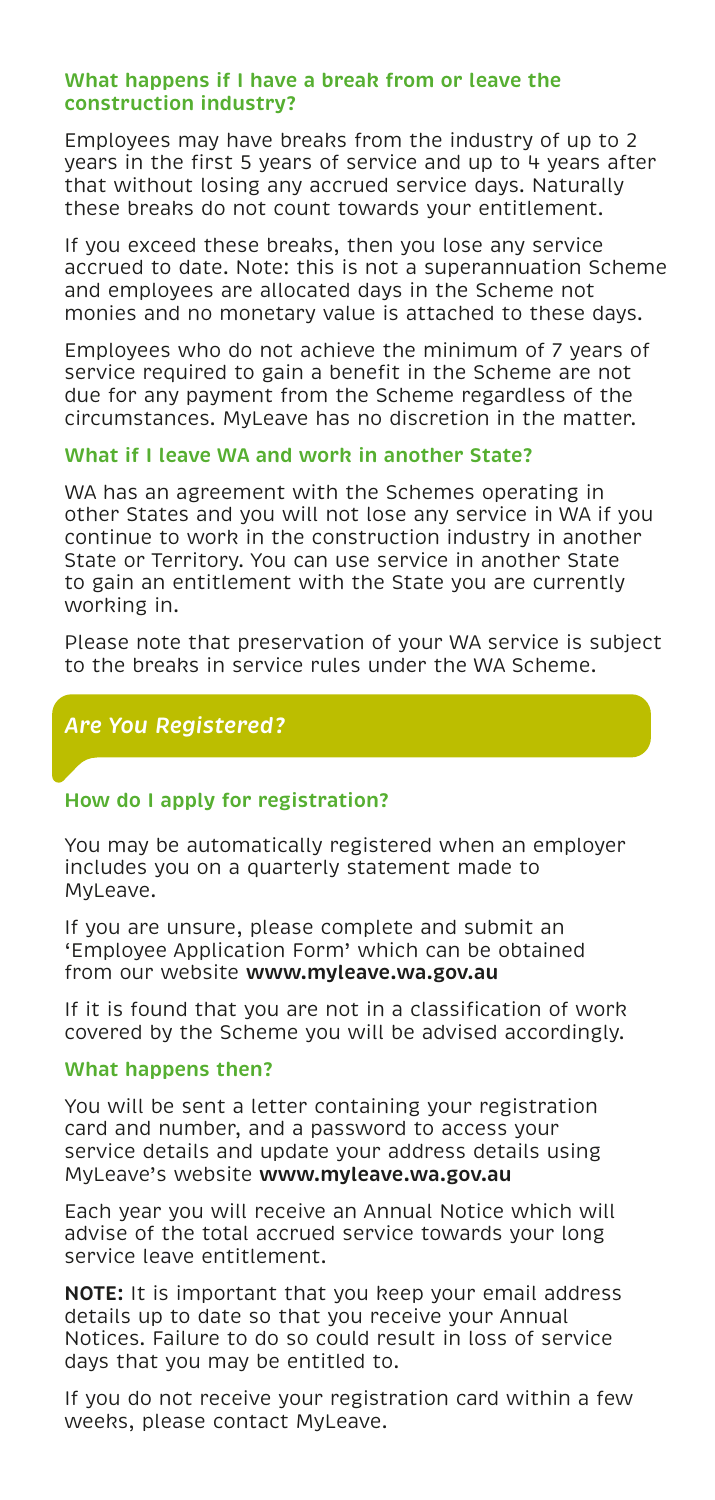#### **What happens if I have a break from or leave the construction industry?**

Employees may have breaks from the industry of up to 2 years in the first 5 years of service and up to 4 years after that without losing any accrued service days. Naturally these breaks do not count towards your entitlement.

If you exceed these breaks, then you lose any service accrued to date. Note: this is not a superannuation Scheme and employees are allocated days in the Scheme not monies and no monetary value is attached to these days.

Employees who do not achieve the minimum of 7 years of service required to gain a benefit in the Scheme are not due for any payment from the Scheme regardless of the circumstances. MyLeave has no discretion in the matter.

#### **What if I leave WA and work in another State?**

WA has an agreement with the Schemes operating in other States and you will not lose any service in WA if you continue to work in the construction industry in another State or Territory. You can use service in another State to gain an entitlement with the State you are currently working in.

Please note that preservation of your WA service is subject to the breaks in service rules under the WA Scheme.

# *Are You Registered?*

#### **How do I apply for registration?**

You may be automatically registered when an employer includes you on a quarterly statement made to MyLeave.

If you are unsure, please complete and submit an 'Employee Application Form' which can be obtained from our website **www.myleave.wa.gov.au**

If it is found that you are not in a classification of work covered by the Scheme you will be advised accordingly.

#### **What happens then?**

You will be sent a letter containing your registration card and number, and a password to access your service details and update your address details using MyLeave's website **www.myleave.wa.gov.au**

Each year you will receive an Annual Notice which will advise of the total accrued service towards your long service leave entitlement.

**NOTE:** It is important that you keep your email address details up to date so that you receive your Annual Notices. Failure to do so could result in loss of service days that you may be entitled to.

If you do not receive your registration card within a few weeks, please contact MyLeave.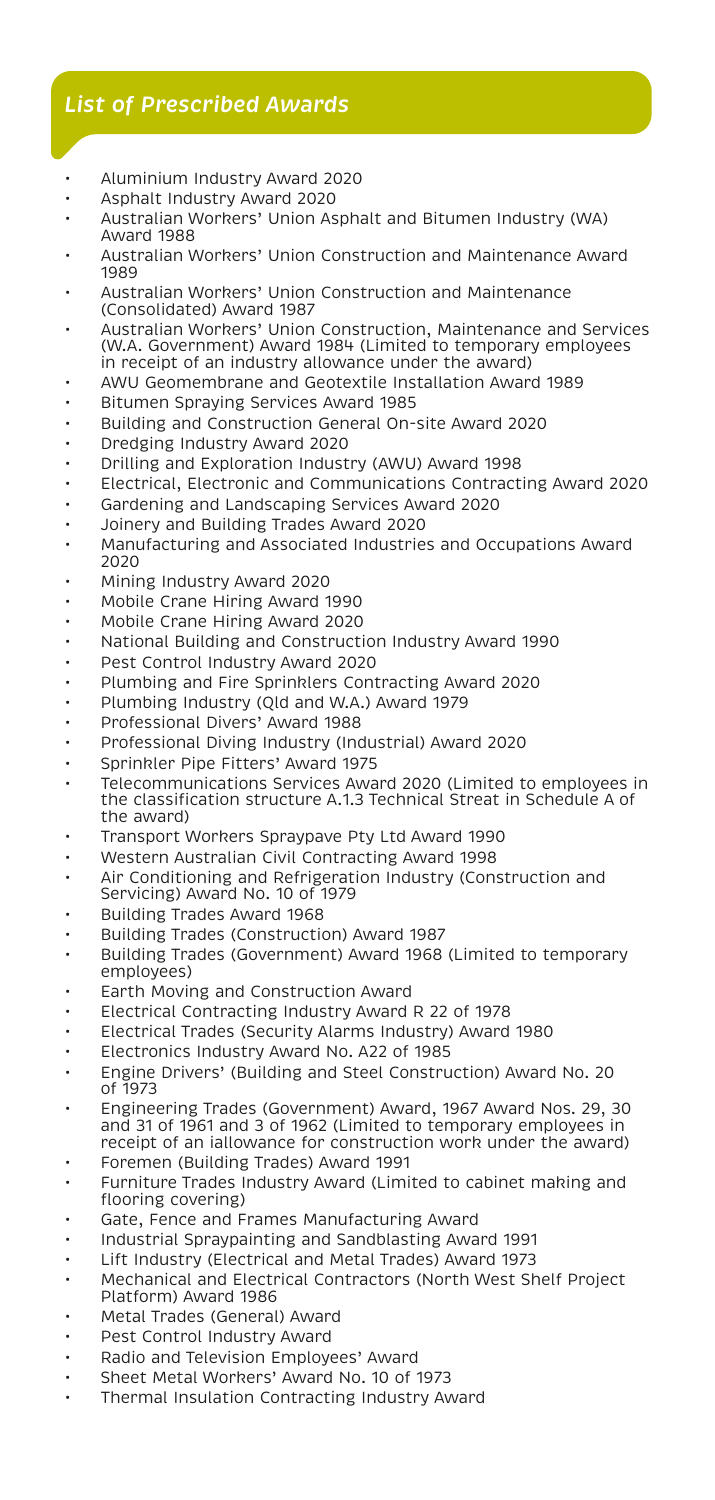# *List of Prescribed Awards*

- Aluminium Industry Award 2020
- Asphalt Industry Award 2020
- Australian Workers' Union Asphalt and Bitumen Industry (WA) Award 1988
- Australian Workers' Union Construction and Maintenance Award 1989
- Australian Workers' Union Construction and Maintenance (Consolidated) Award 1987
- Australian Workers' Union Construction, Maintenance and Services (W.A. Government) Award 1984 (Limited to temporary employees in receipt of an industry allowance under the award)
- AWU Geomembrane and Geotextile Installation Award 1989
- Bitumen Spraying Services Award 1985
- Building and Construction General On-site Award 2020
- Dredging Industry Award 2020
- Drilling and Exploration Industry (AWU) Award 1998
- Electrical, Electronic and Communications Contracting Award 2020
- Gardening and Landscaping Services Award 2020
- Joinery and Building Trades Award 2020
- Manufacturing and Associated Industries and Occupations Award 2020
- Mining Industry Award 2020
- Mobile Crane Hiring Award 1990
- Mobile Crane Hiring Award 2020
- National Building and Construction Industry Award 1990
- Pest Control Industry Award 2020
- Plumbing and Fire Sprinklers Contracting Award 2020
- Plumbing Industry (Qld and W.A.) Award 1979
- Professional Divers' Award 1988
- Professional Diving Industry (Industrial) Award 2020
- Sprinkler Pipe Fitters' Award 1975
- Telecommunications Services Award 2020 (Limited to employees in the classification structure A.1.3 Technical Streat in Schedule A of the award)
- Transport Workers Spraypave Pty Ltd Award 1990
- Western Australian Civil Contracting Award 1998
- Air Conditioning and Refrigeration Industry (Construction and Servicing) Award No. 10 of 1979
- Building Trades Award 1968
- Building Trades (Construction) Award 1987
- Building Trades (Government) Award 1968 (Limited to temporary employees)
- Earth Moving and Construction Award
- Electrical Contracting Industry Award R 22 of 1978
- Electrical Trades (Security Alarms Industry) Award 1980
- Electronics Industry Award No. A22 of 1985
- Engine Drivers' (Building and Steel Construction) Award No. 20 of 1973
- Engineering Trades (Government) Award, 1967 Award Nos. 29, 30 and 31 of 1961 and 3 of 1962 (Limited to temporary employees in receipt of an iallowance for construction work under the award)
- Foremen (Building Trades) Award 1991
- Furniture Trades Industry Award (Limited to cabinet making and flooring covering)
- Gate, Fence and Frames Manufacturing Award
- Industrial Spraypainting and Sandblasting Award 1991
- Lift Industry (Electrical and Metal Trades) Award 1973
- Mechanical and Electrical Contractors (North West Shelf Project Platform) Award 1986
- Metal Trades (General) Award
- Pest Control Industry Award
- Radio and Television Employees' Award
- Sheet Metal Workers' Award No. 10 of 1973
- Thermal Insulation Contracting Industry Award